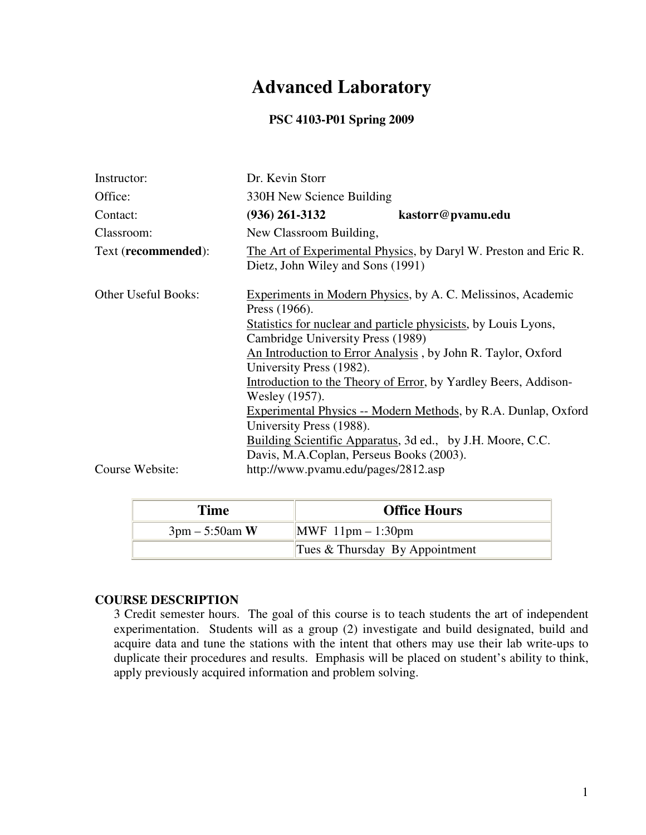# **Advanced Laboratory**

### **PSC 4103-P01 Spring 2009**

| Instructor:                | Dr. Kevin Storr                                                                                       |                                                                       |
|----------------------------|-------------------------------------------------------------------------------------------------------|-----------------------------------------------------------------------|
| Office:                    | 330H New Science Building                                                                             |                                                                       |
| Contact:                   | $(936)$ 261-3132                                                                                      | kastorr@pvamu.edu                                                     |
| Classroom:                 | New Classroom Building,                                                                               |                                                                       |
| Text (recommended):        | The Art of Experimental Physics, by Daryl W. Preston and Eric R.<br>Dietz, John Wiley and Sons (1991) |                                                                       |
| <b>Other Useful Books:</b> | Press (1966).                                                                                         | Experiments in Modern Physics, by A. C. Melissinos, Academic          |
|                            | Statistics for nuclear and particle physicists, by Louis Lyons,                                       |                                                                       |
|                            | Cambridge University Press (1989)                                                                     |                                                                       |
|                            |                                                                                                       | An Introduction to Error Analysis, by John R. Taylor, Oxford          |
|                            | University Press (1982).                                                                              |                                                                       |
|                            |                                                                                                       | Introduction to the Theory of Error, by Yardley Beers, Addison-       |
|                            | Wesley (1957).                                                                                        |                                                                       |
|                            |                                                                                                       | <b>Experimental Physics -- Modern Methods, by R.A. Dunlap, Oxford</b> |
|                            | University Press (1988).                                                                              |                                                                       |
|                            |                                                                                                       | Building Scientific Apparatus, 3d ed., by J.H. Moore, C.C.            |
|                            | Davis, M.A.Coplan, Perseus Books (2003).                                                              |                                                                       |
| Course Website:            | http://www.pvamu.edu/pages/2812.asp                                                                   |                                                                       |

| <b>Time</b>                      | <b>Office Hours</b>              |
|----------------------------------|----------------------------------|
| $3 \text{pm} - 5:50 \text{am W}$ | $MWF$ 11pm $-$ 1:30pm            |
|                                  | Tues $&$ Thursday By Appointment |

### **COURSE DESCRIPTION**

3 Credit semester hours. The goal of this course is to teach students the art of independent experimentation. Students will as a group (2) investigate and build designated, build and acquire data and tune the stations with the intent that others may use their lab write-ups to duplicate their procedures and results. Emphasis will be placed on student's ability to think, apply previously acquired information and problem solving.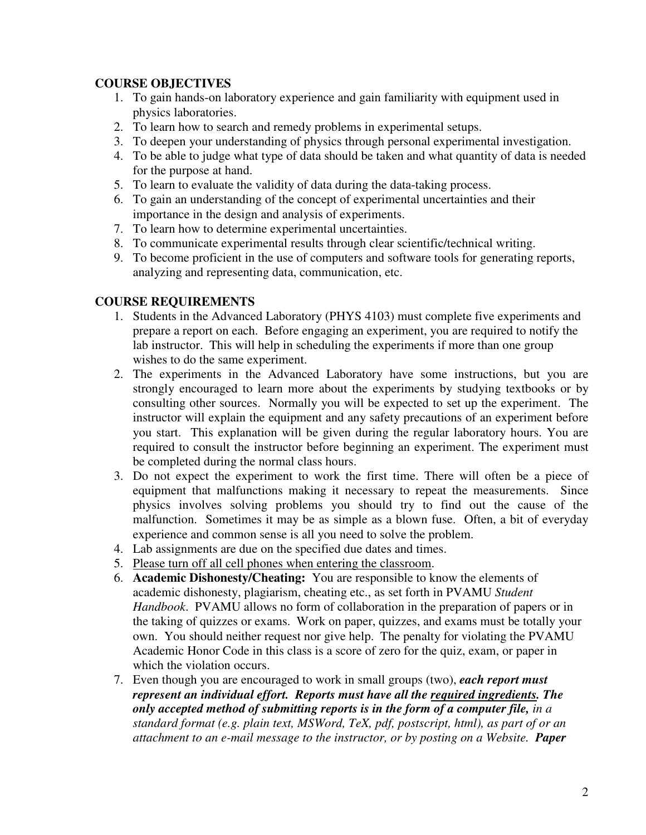## **COURSE OBJECTIVES**

- 1. To gain hands-on laboratory experience and gain familiarity with equipment used in physics laboratories.
- 2. To learn how to search and remedy problems in experimental setups.
- 3. To deepen your understanding of physics through personal experimental investigation.
- 4. To be able to judge what type of data should be taken and what quantity of data is needed for the purpose at hand.
- 5. To learn to evaluate the validity of data during the data-taking process.
- 6. To gain an understanding of the concept of experimental uncertainties and their importance in the design and analysis of experiments.
- 7. To learn how to determine experimental uncertainties.
- 8. To communicate experimental results through clear scientific/technical writing.
- 9. To become proficient in the use of computers and software tools for generating reports, analyzing and representing data, communication, etc.

### **COURSE REQUIREMENTS**

- 1. Students in the Advanced Laboratory (PHYS 4103) must complete five experiments and prepare a report on each. Before engaging an experiment, you are required to notify the lab instructor. This will help in scheduling the experiments if more than one group wishes to do the same experiment.
- 2. The experiments in the Advanced Laboratory have some instructions, but you are strongly encouraged to learn more about the experiments by studying textbooks or by consulting other sources. Normally you will be expected to set up the experiment. The instructor will explain the equipment and any safety precautions of an experiment before you start. This explanation will be given during the regular laboratory hours. You are required to consult the instructor before beginning an experiment. The experiment must be completed during the normal class hours.
- 3. Do not expect the experiment to work the first time. There will often be a piece of equipment that malfunctions making it necessary to repeat the measurements. Since physics involves solving problems you should try to find out the cause of the malfunction. Sometimes it may be as simple as a blown fuse. Often, a bit of everyday experience and common sense is all you need to solve the problem.
- 4. Lab assignments are due on the specified due dates and times.
- 5. Please turn off all cell phones when entering the classroom.
- 6. **Academic Dishonesty/Cheating:** You are responsible to know the elements of academic dishonesty, plagiarism, cheating etc., as set forth in PVAMU *Student Handbook*. PVAMU allows no form of collaboration in the preparation of papers or in the taking of quizzes or exams. Work on paper, quizzes, and exams must be totally your own. You should neither request nor give help. The penalty for violating the PVAMU Academic Honor Code in this class is a score of zero for the quiz, exam, or paper in which the violation occurs.
- 7. Even though you are encouraged to work in small groups (two), *each report must represent an individual effort. Reports must have all the required ingredients. The only accepted method of submitting reports is in the form of a computer file, in a standard format (e.g. plain text, MSWord, TeX, pdf, postscript, html), as part of or an attachment to an e-mail message to the instructor, or by posting on a Website. Paper*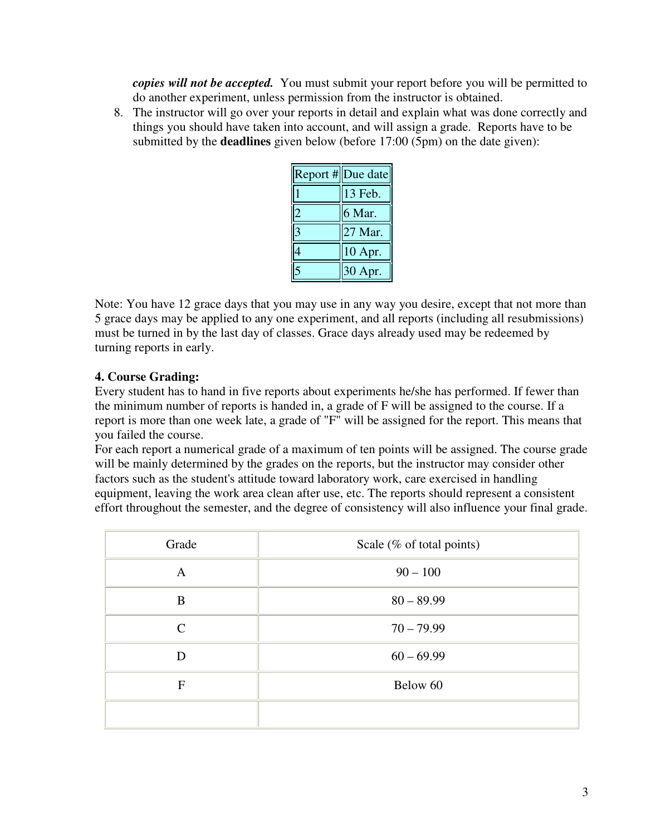*copies will not be accepted.* You must submit your report before you will be permitted to do another experiment, unless permission from the instructor is obtained.

8. The instructor will go over your reports in detail and explain what was done correctly and things you should have taken into account, and will assign a grade. Reports have to be submitted by the **deadlines** given below (before 17:00 (5pm) on the date given):

| Report #Due date |
|------------------|
| 13 Feb.          |
| 6 Mar.           |
| 27 Mar.          |
| 10 Apr.          |
| 30 Apr.          |

Note: You have 12 grace days that you may use in any way you desire, except that not more than 5 grace days may be applied to any one experiment, and all reports (including all resubmissions) must be turned in by the last day of classes. Grace days already used may be redeemed by turning reports in early.

# **4. Course Grading:**

Every student has to hand in five reports about experiments he/she has performed. If fewer than the minimum number of reports is handed in, a grade of F will be assigned to the course. If a report is more than one week late, a grade of "F" will be assigned for the report. This means that you failed the course.

For each report a numerical grade of a maximum of ten points will be assigned. The course grade will be mainly determined by the grades on the reports, but the instructor may consider other factors such as the student's attitude toward laboratory work, care exercised in handling equipment, leaving the work area clean after use, etc. The reports should represent a consistent effort throughout the semester, and the degree of consistency will also influence your final grade.

| Grade        | Scale (% of total points) |
|--------------|---------------------------|
| A            | $90 - 100$                |
| B            | $80 - 89.99$              |
| $\mathsf{C}$ | $70 - 79.99$              |
| D            | $60 - 69.99$              |
| $\mathbf{F}$ | Below 60                  |
|              |                           |